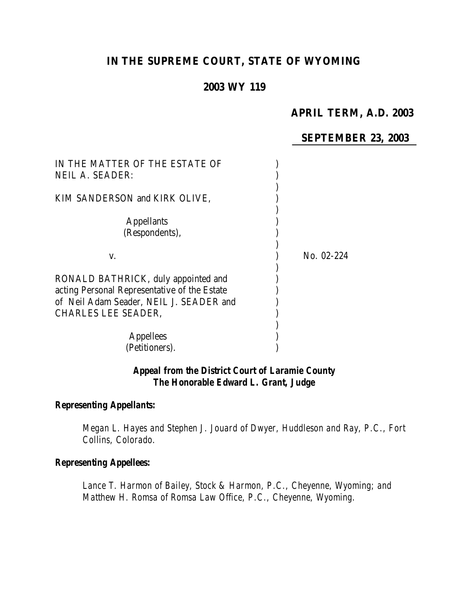# **IN THE SUPREME COURT, STATE OF WYOMING**

# **2003 WY 119**

# **APRIL TERM, A.D. 2003**

#### **SEPTEMBER 23, 2003**

| IN THE MATTER OF THE ESTATE OF<br>NEIL A. SEADER:                                   |            |  |
|-------------------------------------------------------------------------------------|------------|--|
| KIM SANDERSON and KIRK OLIVE,                                                       |            |  |
| <b>Appellants</b><br>(Respondents),                                                 |            |  |
| V.                                                                                  | No. 02-224 |  |
| RONALD BATHRICK, duly appointed and<br>acting Personal Representative of the Estate |            |  |
| of Neil Adam Seader, NEIL J. SEADER and<br><b>CHARLES LEE SEADER,</b>               |            |  |
| Appellees<br>(Petitioners).                                                         |            |  |

# *Appeal from the District Court of Laramie County The Honorable Edward L. Grant, Judge*

# *Representing Appellants:*

*Megan L. Hayes and Stephen J. Jouard of Dwyer, Huddleson and Ray, P.C., Fort Collins, Colorado.*

#### *Representing Appellees:*

*Lance T. Harmon of Bailey, Stock & Harmon, P.C., Cheyenne, Wyoming; and Matthew H. Romsa of Romsa Law Office, P.C., Cheyenne, Wyoming.*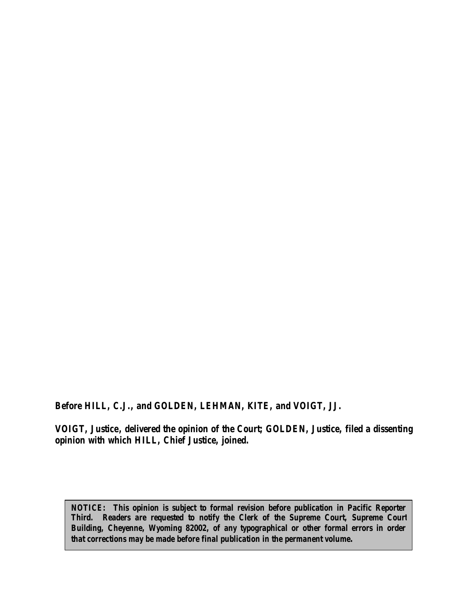*Before HILL, C.J., and GOLDEN, LEHMAN, KITE, and VOIGT, JJ.*

*VOIGT, Justice, delivered the opinion of the Court; GOLDEN, Justice, filed a dissenting opinion with which HILL, Chief Justice, joined.*

*NOTICE: This opinion is subject to formal revision before publication in Pacific Reporter Third. Readers are requested to notify the Clerk of the Supreme Court, Supreme Court Building, Cheyenne, Wyoming 82002, of any typographical or other formal errors in order that corrections may be made before final publication in the permanent volume.*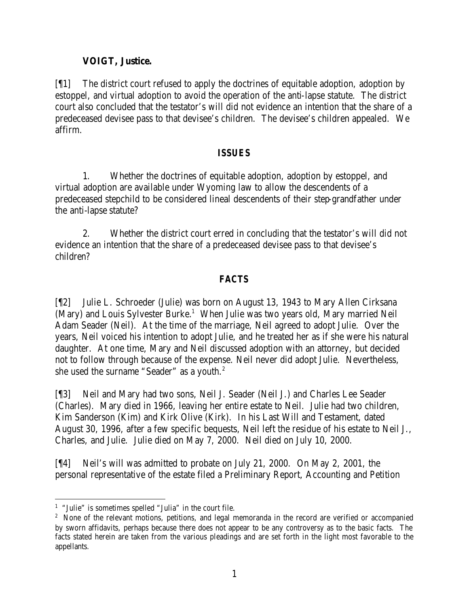# **VOIGT, Justice.**

[¶1] The district court refused to apply the doctrines of equitable adoption, adoption by estoppel, and virtual adoption to avoid the operation of the anti-lapse statute. The district court also concluded that the testator's will did not evidence an intention that the share of a predeceased devisee pass to that devisee's children. The devisee's children appealed. We affirm.

### *ISSUES*

1. Whether the doctrines of equitable adoption, adoption by estoppel, and virtual adoption are available under Wyoming law to allow the descendents of a predeceased stepchild to be considered lineal descendents of their step-grandfather under the anti-lapse statute?

2. Whether the district court erred in concluding that the testator's will did not evidence an intention that the share of a predeceased devisee pass to that devisee's children?

# *FACTS*

[¶2] Julie L. Schroeder (Julie) was born on August 13, 1943 to Mary Allen Cirksana (Mary) and Louis Sylvester Burke.<sup>1</sup> When Julie was two years old, Mary married Neil Adam Seader (Neil). At the time of the marriage, Neil agreed to adopt Julie. Over the years, Neil voiced his intention to adopt Julie, and he treated her as if she were his natural daughter. At one time, Mary and Neil discussed adoption with an attorney, but decided not to follow through because of the expense. Neil never did adopt Julie. Nevertheless, she used the surname "Seader" as a youth.<sup>2</sup>

[¶3] Neil and Mary had two sons, Neil J. Seader (Neil J.) and Charles Lee Seader (Charles). Mary died in 1966, leaving her entire estate to Neil. Julie had two children, Kim Sanderson (Kim) and Kirk Olive (Kirk). In his Last Will and Testament, dated August 30, 1996, after a few specific bequests, Neil left the residue of his estate to Neil J., Charles, and Julie. Julie died on May 7, 2000. Neil died on July 10, 2000.

[¶4] Neil's will was admitted to probate on July 21, 2000. On May 2, 2001, the personal representative of the estate filed a Preliminary Report, Accounting and Petition

<sup>1</sup> "Julie" is sometimes spelled "Julia" in the court file.

<sup>&</sup>lt;sup>2</sup> None of the relevant motions, petitions, and legal memoranda in the record are verified or accompanied by sworn affidavits, perhaps because there does not appear to be any controversy as to the basic facts. The facts stated herein are taken from the various pleadings and are set forth in the light most favorable to the appellants.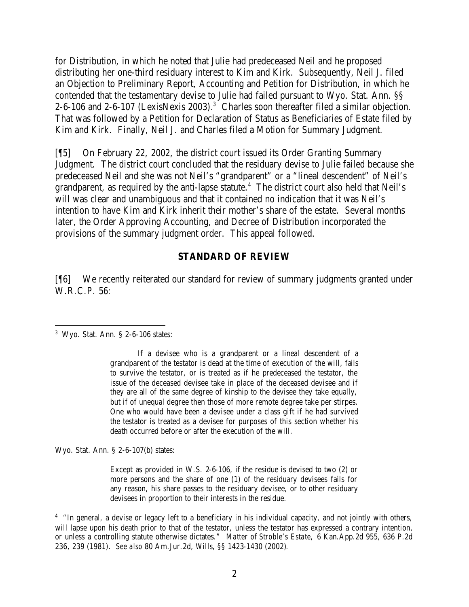for Distribution, in which he noted that Julie had predeceased Neil and he proposed distributing her one-third residuary interest to Kim and Kirk. Subsequently, Neil J. filed an Objection to Preliminary Report, Accounting and Petition for Distribution, in which he contended that the testamentary devise to Julie had failed pursuant to Wyo. Stat. Ann. §§ 2-6-106 and 2-6-107 (LexisNexis 2003).<sup>3</sup> Charles soon thereafter filed a similar objection. That was followed by a Petition for Declaration of Status as Beneficiaries of Estate filed by Kim and Kirk. Finally, Neil J. and Charles filed a Motion for Summary Judgment.

[¶5] On February 22, 2002, the district court issued its Order Granting Summary Judgment. The district court concluded that the residuary devise to Julie failed because she predeceased Neil and she was not Neil's "grandparent" or a "lineal descendent" of Neil's grandparent, as required by the anti-lapse statute.<sup>4</sup> The district court also held that Neil's will was clear and unambiguous and that it contained no indication that it was Neil's intention to have Kim and Kirk inherit their mother's share of the estate. Several months later, the Order Approving Accounting, and Decree of Distribution incorporated the provisions of the summary judgment order. This appeal followed.

# **STANDARD OF REVIEW**

[¶6] We recently reiterated our standard for review of summary judgments granted under W.R.C.P. 56:

Wyo. Stat. Ann. § 2-6-107(b) states:

Except as provided in W.S. 2-6-106, if the residue is devised to two (2) or more persons and the share of one (1) of the residuary devisees fails for any reason, his share passes to the residuary devisee, or to other residuary devisees in proportion to their interests in the residue.

 3 Wyo. Stat. Ann. § 2-6-106 states:

If a devisee who is a grandparent or a lineal descendent of a grandparent of the testator is dead at the time of execution of the will, fails to survive the testator, or is treated as if he predeceased the testator, the issue of the deceased devisee take in place of the deceased devisee and if they are all of the same degree of kinship to the devisee they take equally, but if of unequal degree then those of more remote degree take per stirpes. One who would have been a devisee under a class gift if he had survived the testator is treated as a devisee for purposes of this section whether his death occurred before or after the execution of the will.

<sup>&</sup>lt;sup>4</sup> "In general, a devise or legacy left to a beneficiary in his individual capacity, and not jointly with others, will lapse upon his death prior to that of the testator, unless the testator has expressed a contrary intention, or unless a controlling statute otherwise dictates." *Matter of Stroble's Estate,* 6 Kan.App.2d 955, 636 P.2d 236, 239 (1981). *See also* 80 Am.Jur.2d, *Wills*, §§ 1423-1430 (2002).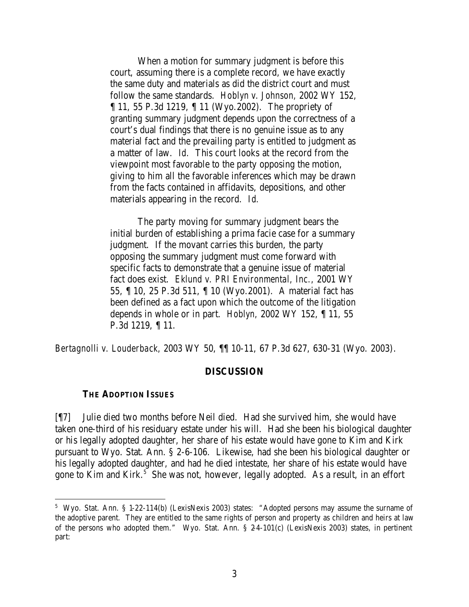When a motion for summary judgment is before this court, assuming there is a complete record, we have exactly the same duty and materials as did the district court and must follow the same standards. *Hoblyn v. Johnson,* 2002 WY 152, ¶ 11, 55 P.3d 1219, ¶ 11 (Wyo.2002). The propriety of granting summary judgment depends upon the correctness of a court's dual findings that there is no genuine issue as to any material fact and the prevailing party is entitled to judgment as a matter of law. *Id.* This court looks at the record from the viewpoint most favorable to the party opposing the motion, giving to him all the favorable inferences which may be drawn from the facts contained in affidavits, depositions, and other materials appearing in the record. *Id.*

The party moving for summary judgment bears the initial burden of establishing a prima facie case for a summary judgment. If the movant carries this burden, the party opposing the summary judgment must come forward with specific facts to demonstrate that a genuine issue of material fact does exist. *Eklund v. PRI Environmental, Inc.,* 2001 WY 55, ¶ 10, 25 P.3d 511, ¶ 10 (Wyo.2001). A material fact has been defined as a fact upon which the outcome of the litigation depends in whole or in part. *Hoblyn,* 2002 WY 152, ¶ 11, 55 P.3d 1219, ¶ 11.

*Bertagnolli v. Louderback,* 2003 WY 50, ¶¶ 10-11, 67 P.3d 627, 630-31 (Wyo. 2003).

#### **DISCUSSION**

#### **THE ADOPTION ISSUES**

[¶7] Julie died two months before Neil died. Had she survived him, she would have taken one-third of his residuary estate under his will. Had she been his biological daughter or his legally adopted daughter, her share of his estate would have gone to Kim and Kirk pursuant to Wyo. Stat. Ann. § 2-6-106. Likewise, had she been his biological daughter or his legally adopted daughter, and had he died intestate, her share of his estate would have gone to Kim and Kirk.<sup>5</sup> She was not, however, legally adopted. As a result, in an effort

<sup>&</sup>lt;sup>5</sup> Wyo. Stat. Ann. § 1-22-114(b) (LexisNexis 2003) states: "Adopted persons may assume the surname of the adoptive parent. They are entitled to the same rights of person and property as children and heirs at law of the persons who adopted them." Wyo. Stat. Ann. § 2-4-101(c) (LexisNexis 2003) states, in pertinent part: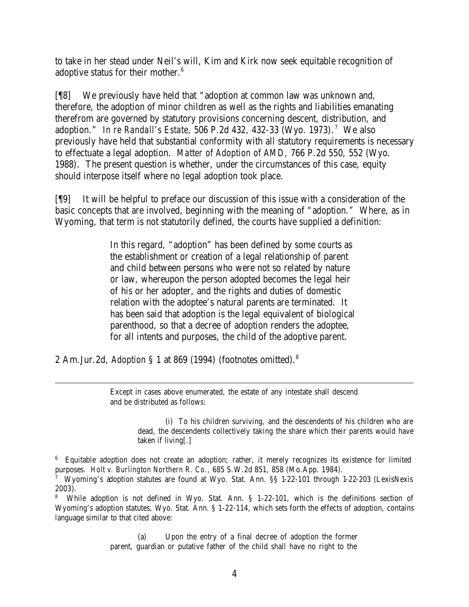to take in her stead under Neil's will, Kim and Kirk now seek equitable recognition of adoptive status for their mother.<sup>6</sup>

[¶8] We previously have held that "adoption at common law was unknown and, therefore, the adoption of minor children as well as the rights and liabilities emanating therefrom are governed by statutory provisions concerning descent, distribution, and adoption." *In re Randall's Estate,* 506 P.2d 432, 432-33 (Wyo. 1973). 7 We also previously have held that substantial conformity with all statutory requirements is necessary to effectuate a legal adoption. *Matter of Adoption of AMD,* 766 P.2d 550, 552 (Wyo. 1988). The present question is whether, under the circumstances of this case, equity should interpose itself where no legal adoption took place.

[¶9] It will be helpful to preface our discussion of this issue with a consideration of the basic concepts that are involved, beginning with the meaning of "adoption." Where, as in Wyoming, that term is not statutorily defined, the courts have supplied a definition:

> In this regard, "adoption" has been defined by some courts as the establishment or creation of a legal relationship of parent and child between persons who were not so related by nature or law, whereupon the person adopted becomes the legal heir of his or her adopter, and the rights and duties of domestic relation with the adoptee's natural parents are terminated. It has been said that adoption is the legal equivalent of biological parenthood, so that a decree of adoption renders the adoptee, for all intents and purposes, the child of the adoptive parent.

2 Am.Jur.2d, *Adoption* § 1 at 869 (1994) (footnotes omitted).<sup>8</sup>

Except in cases above enumerated, the estate of any intestate shall descend and be distributed as follows:

> (i) To his children surviving, and the descendents of his children who are dead, the descendents collectively taking the share which their parents would have taken if living[.]

<sup>6</sup> Equitable adoption does not create an adoption; rather, it merely recognizes its existence for limited purposes. *Holt v. Burlington Northern R. Co.,* 685 S.W.2d 851, 858 (Mo.App. 1984).

<sup>7</sup> Wyoming's adoption statutes are found at Wyo. Stat. Ann. §§ 1-22-101 through 1-22-203 (LexisNexis 2003).

<sup>8</sup> While adoption is not defined in Wyo. Stat. Ann. § 1-22-101, which is the definitions section of Wyoming's adoption statutes, Wyo. Stat. Ann. § 1-22-114, which sets forth the effects of adoption, contains language similar to that cited above:

> (a) Upon the entry of a final decree of adoption the former parent, guardian or putative father of the child shall have no right to the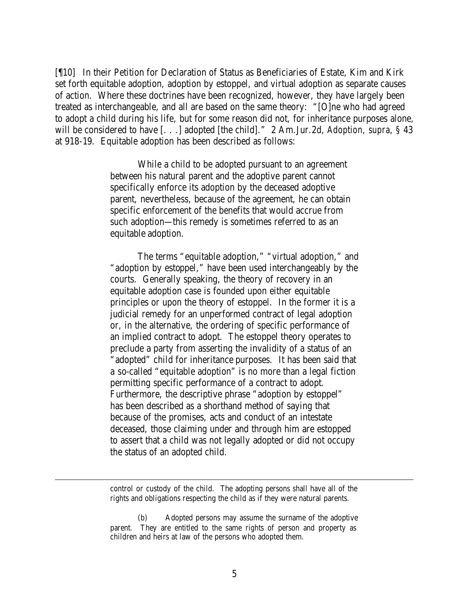[¶10] In their Petition for Declaration of Status as Beneficiaries of Estate, Kim and Kirk set forth equitable adoption, adoption by estoppel, and virtual adoption as separate causes of action. Where these doctrines have been recognized, however, they have largely been treated as interchangeable, and all are based on the same theory: "[O]ne who had agreed to adopt a child during his life, but for some reason did not, for inheritance purposes alone, will be considered to have [. . .] adopted [the child]." 2 Am.Jur.2d, *Adoption, supra*, § 43 at 918-19. Equitable adoption has been described as follows:

> While a child to be adopted pursuant to an agreement between his natural parent and the adoptive parent cannot specifically enforce its adoption by the deceased adoptive parent, nevertheless, because of the agreement, he can obtain specific enforcement of the benefits that would accrue from such adoption—this remedy is sometimes referred to as an equitable adoption.

The terms "equitable adoption," "virtual adoption," and "adoption by estoppel," have been used interchangeably by the courts. Generally speaking, the theory of recovery in an equitable adoption case is founded upon either equitable principles or upon the theory of estoppel. In the former it is a judicial remedy for an unperformed contract of legal adoption or, in the alternative, the ordering of specific performance of an implied contract to adopt. The estoppel theory operates to preclude a party from asserting the invalidity of a status of an "adopted" child for inheritance purposes. It has been said that a so-called "equitable adoption" is no more than a legal fiction permitting specific performance of a contract to adopt. Furthermore, the descriptive phrase "adoption by estoppel" has been described as a shorthand method of saying that because of the promises, acts and conduct of an intestate deceased, those claiming under and through him are estopped to assert that a child was not legally adopted or did not occupy the status of an adopted child.

control or custody of the child. The adopting persons shall have all of the rights and obligations respecting the child as if they were natural parents.

(b) Adopted persons may assume the surname of the adoptive parent. They are entitled to the same rights of person and property as children and heirs at law of the persons who adopted them.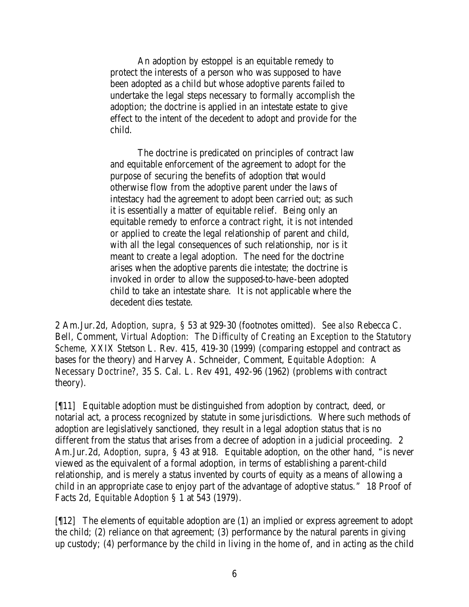An adoption by estoppel is an equitable remedy to protect the interests of a person who was supposed to have been adopted as a child but whose adoptive parents failed to undertake the legal steps necessary to formally accomplish the adoption; the doctrine is applied in an intestate estate to give effect to the intent of the decedent to adopt and provide for the child.

The doctrine is predicated on principles of contract law and equitable enforcement of the agreement to adopt for the purpose of securing the benefits of adoption that would otherwise flow from the adoptive parent under the laws of intestacy had the agreement to adopt been carried out; as such it is essentially a matter of equitable relief. Being only an equitable remedy to enforce a contract right, it is not intended or applied to create the legal relationship of parent and child, with all the legal consequences of such relationship, nor is it meant to create a legal adoption. The need for the doctrine arises when the adoptive parents die intestate; the doctrine is invoked in order to allow the supposed-to-have-been adopted child to take an intestate share. It is not applicable where the decedent dies testate.

2 Am.Jur.2d, *Adoption, supra,* § 53 at 929-30 (footnotes omitted). *See also* Rebecca C. Bell, Comment, *Virtual Adoption: The Difficulty of Creating an Exception to the Statutory Scheme,* XXIX Stetson L. Rev. 415, 419-30 (1999) (comparing estoppel and contract as bases for the theory) and Harvey A. Schneider, Comment, *Equitable Adoption: A Necessary Doctrine?*, 35 S. Cal. L. Rev 491, 492-96 (1962) (problems with contract theory).

[¶11] Equitable adoption must be distinguished from adoption by contract, deed, or notarial act, a process recognized by statute in some jurisdictions. Where such methods of adoption are legislatively sanctioned, they result in a legal adoption status that is no different from the status that arises from a decree of adoption in a judicial proceeding. 2 Am.Jur.2d, *Adoption, supra,* § 43 at 918. Equitable adoption, on the other hand, "is never viewed as the equivalent of a formal adoption, in terms of establishing a parent-child relationship, and is merely a status invented by courts of equity as a means of allowing a child in an appropriate case to enjoy part of the advantage of adoptive status." 18 Proof of Facts 2d, *Equitable Adoption* § 1 at 543 (1979).

[¶12] The elements of equitable adoption are (1) an implied or express agreement to adopt the child; (2) reliance on that agreement; (3) performance by the natural parents in giving up custody; (4) performance by the child in living in the home of, and in acting as the child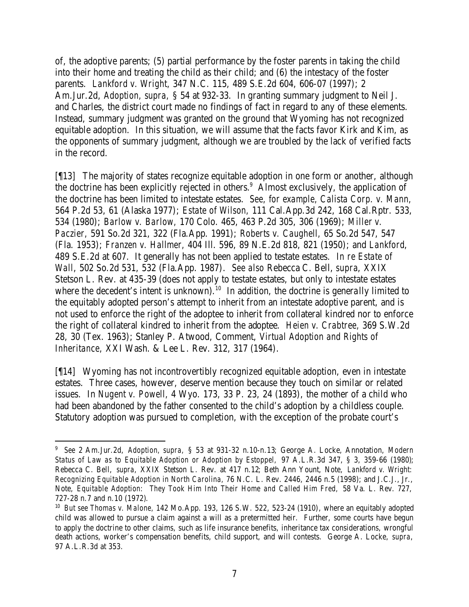of, the adoptive parents; (5) partial performance by the foster parents in taking the child into their home and treating the child as their child; and (6) the intestacy of the foster parents. *Lankford v. Wright,* 347 N.C. 115, 489 S.E.2d 604, 606-07 (1997); 2 Am.Jur.2d, *Adoption, supra,* § 54 at 932-33. In granting summary judgment to Neil J. and Charles, the district court made no findings of fact in regard to any of these elements. Instead, summary judgment was granted on the ground that Wyoming has not recognized equitable adoption. In this situation, we will assume that the facts favor Kirk and Kim, as the opponents of summary judgment, although we are troubled by the lack of verified facts in the record.

[¶13] The majority of states recognize equitable adoption in one form or another, although the doctrine has been explicitly rejected in others.<sup>9</sup> Almost exclusively, the application of the doctrine has been limited to intestate estates. *See, for example, Calista Corp. v. Mann,* 564 P.2d 53, 61 (Alaska 1977); *Estate of Wilson,* 111 Cal.App.3d 242, 168 Cal.Rptr. 533, 534 (1980); *Barlow v. Barlow,* 170 Colo. 465, 463 P.2d 305, 306 (1969); *Miller v. Paczier,* 591 So.2d 321, 322 (Fla.App. 1991); *Roberts v. Caughell,* 65 So.2d 547, 547 (Fla. 1953); *Franzen v. Hallmer,* 404 Ill. 596, 89 N.E.2d 818, 821 (1950); and *Lankford*, 489 S.E.2d at 607. It generally has not been applied to testate estates. *In re Estate of Wall*, 502 So.2d 531, 532 (Fla.App. 1987). *See also* Rebecca C. Bell, *supra*, XXIX Stetson L. Rev. at 435-39 (does not apply to testate estates, but only to intestate estates where the decedent's intent is unknown).<sup>10</sup> In addition, the doctrine is generally limited to the equitably adopted person's attempt to inherit from an intestate adoptive parent, and is not used to enforce the right of the adoptee to inherit from collateral kindred nor to enforce the right of collateral kindred to inherit from the adoptee. *Heien v. Crabtree,* 369 S.W.2d 28, 30 (Tex. 1963); Stanley P. Atwood, Comment, *Virtual Adoption and Rights of Inheritance,* XXI Wash. & Lee L. Rev. 312, 317 (1964).

[¶14] Wyoming has not incontrovertibly recognized equitable adoption, even in intestate estates. Three cases, however, deserve mention because they touch on similar or related issues. In *Nugent v. Powell,* 4 Wyo. 173, 33 P. 23, 24 (1893), the mother of a child who had been abandoned by the father consented to the child's adoption by a childless couple. Statutory adoption was pursued to completion, with the exception of the probate court's

<sup>9</sup> *See* 2 Am.Jur.2d, *Adoption, supra,* § 53 at 931-32 n.10-n.13; George A. Locke, Annotation, *Modern Status of Law as to Equitable Adoption or Adoption by Estoppel,* 97 A.L.R.3d 347, § 3, 359-66 (1980); Rebecca C. Bell, *supra*, XXIX Stetson L. Rev. at 417 n.12; Beth Ann Yount, Note, *Lankford v. Wright: Recognizing Equitable Adoption in North Carolina,* 76 N.C. L. Rev. 2446, 2446 n.5 (1998); and J.C.J., Jr., Note, *Equitable Adoption: They Took Him Into Their Home and Called Him Fred,* 58 Va. L. Rev. 727, 727-28 n.7 and n.10 (1972).

<sup>10</sup> *But see Thomas v. Malone,* 142 Mo.App. 193, 126 S.W. 522, 523-24 (1910), where an equitably adopted child was allowed to pursue a claim against a will as a pretermitted heir. Further, some courts have begun to apply the doctrine to other claims, such as life insurance benefits, inheritance tax considerations, wrongful death actions, worker's compensation benefits, child support, and will contests. George A. Locke, *supra*, 97 A.L.R.3d at 353.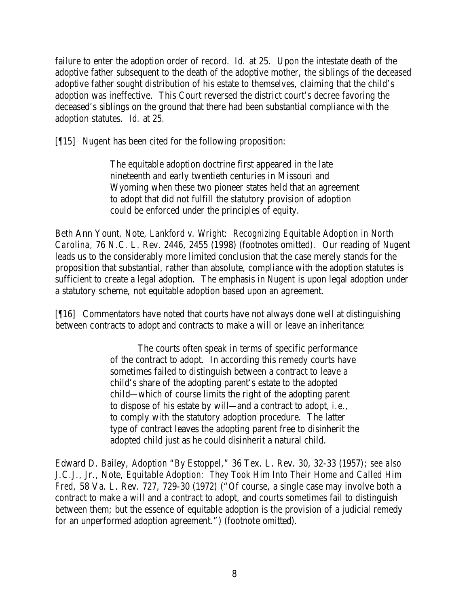failure to enter the adoption order of record. *Id.* at 25. Upon the intestate death of the adoptive father subsequent to the death of the adoptive mother, the siblings of the deceased adoptive father sought distribution of his estate to themselves, claiming that the child's adoption was ineffective. This Court reversed the district court's decree favoring the deceased's siblings on the ground that there had been substantial compliance with the adoption statutes. *Id.* at 25.

[¶15] *Nugent* has been cited for the following proposition:

The equitable adoption doctrine first appeared in the late nineteenth and early twentieth centuries in Missouri and Wyoming when these two pioneer states held that an agreement to adopt that did not fulfill the statutory provision of adoption could be enforced under the principles of equity.

Beth Ann Yount, Note, *Lankford v. Wright: Recognizing Equitable Adoption in North Carolina,* 76 N.C. L. Rev. 2446, 2455 (1998) (footnotes omitted). Our reading of *Nugent* leads us to the considerably more limited conclusion that the case merely stands for the proposition that substantial, rather than absolute, compliance with the adoption statutes is sufficient to create a legal adoption. The emphasis in *Nugent* is upon legal adoption under a statutory scheme, not equitable adoption based upon an agreement.

[¶16] Commentators have noted that courts have not always done well at distinguishing between contracts to adopt and contracts to make a will or leave an inheritance:

> The courts often speak in terms of specific performance of the contract to adopt. In according this remedy courts have sometimes failed to distinguish between a contract to leave a child's share of the adopting parent's estate to the adopted child—which of course limits the right of the adopting parent to dispose of his estate by will—and a contract to adopt, *i.e.*, to comply with the statutory adoption procedure. The latter type of contract leaves the adopting parent free to disinherit the adopted child just as he could disinherit a natural child.

Edward D. Bailey, *Adoption "By Estoppel,"* 36 Tex. L. Rev. 30, 32-33 (1957); *see also*  J.C.J., Jr., Note, *Equitable Adoption: They Took Him Into Their Home and Called Him Fred,* 58 Va. L. Rev. 727, 729-30 (1972) ("Of course, a single case may involve both a contract to make a will and a contract to adopt, and courts sometimes fail to distinguish between them; but the essence of equitable adoption is the provision of a judicial remedy for an unperformed adoption agreement.") (footnote omitted).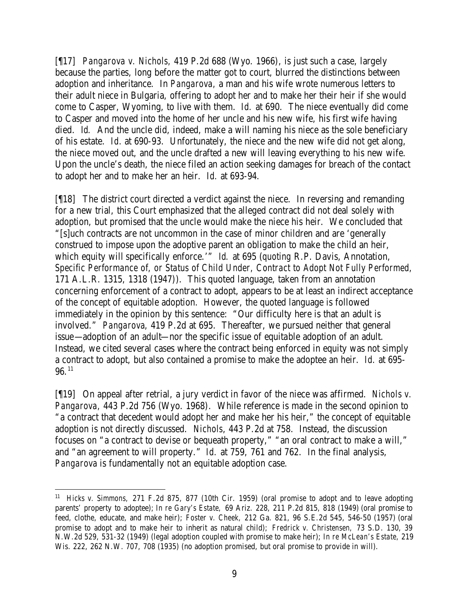[¶17] *Pangarova v. Nichols,* 419 P.2d 688 (Wyo. 1966), is just such a case, largely because the parties, long before the matter got to court, blurred the distinctions between adoption and inheritance. In *Pangarova,* a man and his wife wrote numerous letters to their adult niece in Bulgaria, offering to adopt her and to make her their heir if she would come to Casper, Wyoming, to live with them. *Id.* at 690. The niece eventually did come to Casper and moved into the home of her uncle and his new wife, his first wife having died. *Id.* And the uncle did, indeed, make a will naming his niece as the sole beneficiary of his estate. *Id.* at 690-93. Unfortunately, the niece and the new wife did not get along, the niece moved out, and the uncle drafted a new will leaving everything to his new wife. Upon the uncle's death, the niece filed an action seeking damages for breach of the contact to adopt her and to make her an heir. *Id.* at 693-94.

[¶18] The district court directed a verdict against the niece. In reversing and remanding for a new trial, this Court emphasized that the alleged contract did not deal solely with adoption, but promised that the uncle would make the niece his heir. We concluded that "[s]uch contracts are not uncommon in the case of minor children and are 'generally construed to impose upon the adoptive parent an obligation to make the child an heir, which equity will specifically enforce.'<sup>"</sup> *Id.* at 695 (*quoting R.P. Davis, Annotation*, *Specific Performance of, or Status of Child Under, Contract to Adopt Not Fully Performed,*  171 A.L.R. 1315, 1318 (1947)). This quoted language, taken from an annotation concerning enforcement of a contract to adopt, appears to be at least an indirect acceptance of the concept of equitable adoption. However, the quoted language is followed immediately in the opinion by this sentence: "Our difficulty here is that an adult is involved." *Pangarova*, 419 P.2d at 695. Thereafter, we pursued neither that general issue—adoption of an adult—nor the specific issue of equitable adoption of an adult. Instead, we cited several cases where the contract being enforced in equity was not simply a contract to adopt, but also contained a promise to make the adoptee an heir. *Id.* at 695-  $96.11$ 

[¶19] On appeal after retrial, a jury verdict in favor of the niece was affirmed. *Nichols v. Pangarova,* 443 P.2d 756 (Wyo. 1968). While reference is made in the second opinion to "a contract that decedent would adopt her and make her his heir," the concept of equitable adoption is not directly discussed. *Nichols*, 443 P.2d at 758. Instead, the discussion focuses on "a contract to devise or bequeath property," "an oral contract to make a will," and "an agreement to will property." *Id.* at 759, 761 and 762. In the final analysis, *Pangarova* is fundamentally not an equitable adoption case.

<sup>11</sup> *Hicks v. Simmons,* 271 F.2d 875, 877 (10th Cir. 1959) (oral promise to adopt and to leave adopting parents' property to adoptee); *In re Gary's Estate,* 69 Ariz. 228, 211 P.2d 815, 818 (1949) (oral promise to feed, clothe, educate, and make heir); *Foster v. Cheek,* 212 Ga. 821, 96 S.E.2d 545, 546-50 (1957) (oral promise to adopt and to make heir to inherit as natural child); *Fredrick v. Christensen,* 73 S.D. 130, 39 N.W.2d 529, 531-32 (1949) (legal adoption coupled with promise to make heir); *In re McLean's Estate,* 219 Wis. 222, 262 N.W. 707, 708 (1935) (no adoption promised, but oral promise to provide in will).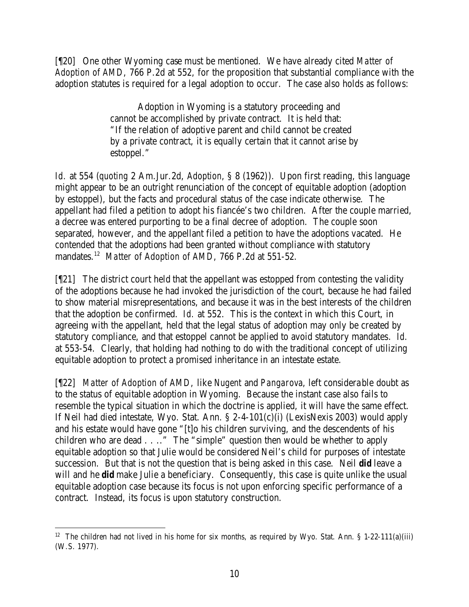[¶20] One other Wyoming case must be mentioned. We have already cited *Matter of Adoption of AMD*, 766 P.2d at 552, for the proposition that substantial compliance with the adoption statutes is required for a legal adoption to occur. The case also holds as follows:

> Adoption in Wyoming is a statutory proceeding and cannot be accomplished by private contract. It is held that: "If the relation of adoptive parent and child cannot be created by a private contract, it is equally certain that it cannot arise by estoppel."

*Id.* at 554 (*quoting* 2 Am.Jur.2d, *Adoption*, § 8 (1962)). Upon first reading, this language might appear to be an outright renunciation of the concept of equitable adoption (adoption by estoppel), but the facts and procedural status of the case indicate otherwise. The appellant had filed a petition to adopt his fiancée's two children. After the couple married, a decree was entered purporting to be a final decree of adoption. The couple soon separated, however, and the appellant filed a petition to have the adoptions vacated. He contended that the adoptions had been granted without compliance with statutory mandates.<sup>12</sup> Matter of Adoption of AMD, 766 P.2d at 551-52.

[¶21] The district court held that the appellant was estopped from contesting the validity of the adoptions because he had invoked the jurisdiction of the court, because he had failed to show material misrepresentations, and because it was in the best interests of the children that the adoption be confirmed. *Id.* at 552. This is the context in which this Court, in agreeing with the appellant, held that the legal status of adoption may only be created by statutory compliance, and that estoppel cannot be applied to avoid statutory mandates. *Id.* at 553-54. Clearly, that holding had nothing to do with the traditional concept of utilizing equitable adoption to protect a promised inheritance in an intestate estate.

[¶22] *Matter of Adoption of AMD*, like *Nugent* and *Pangarova*, left considerable doubt as to the status of equitable adoption in Wyoming. Because the instant case also fails to resemble the typical situation in which the doctrine is applied, it will have the same effect. If Neil had died intestate, Wyo. Stat. Ann. § 2-4-101(c)(i) (LexisNexis 2003) would apply and his estate would have gone "[t]o his children surviving, and the descendents of his children who are dead . . .." The "simple" question then would be whether to apply equitable adoption so that Julie would be considered Neil's child for purposes of intestate succession. But that is not the question that is being asked in this case. Neil *did* leave a will and he *did* make Julie a beneficiary. Consequently, this case is quite unlike the usual equitable adoption case because its focus is not upon enforcing specific performance of a contract. Instead, its focus is upon statutory construction.

 <sup>12</sup> The children had not lived in his home for six months, as required by Wyo. Stat. Ann. § 1-22-111(a)(iii) (W.S. 1977).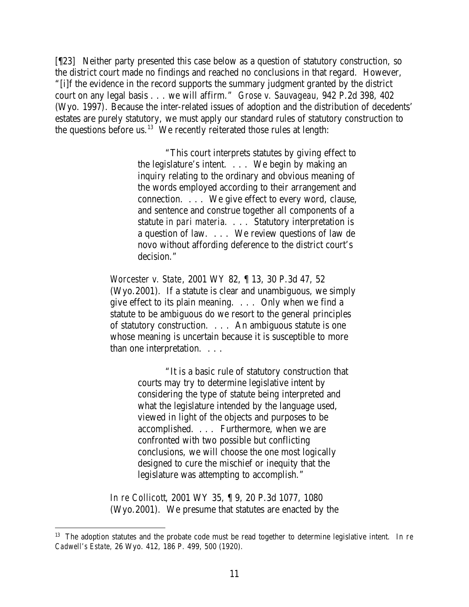[¶23] Neither party presented this case below as a question of statutory construction, so the district court made no findings and reached no conclusions in that regard. However, "[i]f the evidence in the record supports the summary judgment granted by the district court on any legal basis . . . we will affirm." *Grose v. Sauvageau,* 942 P.2d 398, 402 (Wyo. 1997). Because the inter-related issues of adoption and the distribution of decedents' estates are purely statutory, we must apply our standard rules of statutory construction to the questions before us.<sup>13</sup> We recently reiterated those rules at length:

> "This court interprets statutes by giving effect to the legislature's intent. . . . We begin by making an inquiry relating to the ordinary and obvious meaning of the words employed according to their arrangement and connection. . . . We give effect to every word, clause, and sentence and construe together all components of a statute *in pari materia*. . . . Statutory interpretation is a question of law. . . . We review questions of law de novo without affording deference to the district court's decision."

*Worcester v. State*, 2001 WY 82, ¶ 13, 30 P.3d 47, 52 (Wyo.2001). If a statute is clear and unambiguous, we simply give effect to its plain meaning. . . . Only when we find a statute to be ambiguous do we resort to the general principles of statutory construction. . . . An ambiguous statute is one whose meaning is uncertain because it is susceptible to more than one interpretation. . . .

> "It is a basic rule of statutory construction that courts may try to determine legislative intent by considering the type of statute being interpreted and what the legislature intended by the language used, viewed in light of the objects and purposes to be accomplished. . . . Furthermore, when we are confronted with two possible but conflicting conclusions, we will choose the one most logically designed to cure the mischief or inequity that the legislature was attempting to accomplish."

*In re Collicott*, 2001 WY 35, ¶ 9, 20 P.3d 1077, 1080 (Wyo.2001). We presume that statutes are enacted by the

<sup>13</sup> The adoption statutes and the probate code must be read together to determine legislative intent. *In re Cadwell's Estate,* 26 Wyo. 412, 186 P. 499, 500 (1920).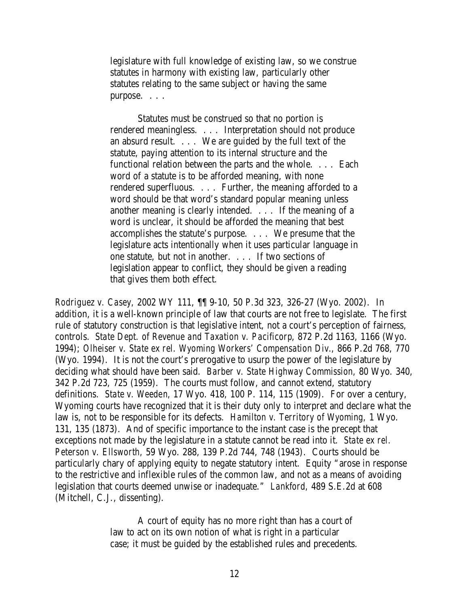legislature with full knowledge of existing law, so we construe statutes in harmony with existing law, particularly other statutes relating to the same subject or having the same purpose. . . .

Statutes must be construed so that no portion is rendered meaningless. . . . Interpretation should not produce an absurd result. . . . We are guided by the full text of the statute, paying attention to its internal structure and the functional relation between the parts and the whole. . . . Each word of a statute is to be afforded meaning, with none rendered superfluous. . . . Further, the meaning afforded to a word should be that word's standard popular meaning unless another meaning is clearly intended. . . . If the meaning of a word is unclear, it should be afforded the meaning that best accomplishes the statute's purpose. . . . We presume that the legislature acts intentionally when it uses particular language in one statute, but not in another. . . . If two sections of legislation appear to conflict, they should be given a reading that gives them both effect.

*Rodriguez v. Casey,* 2002 WY 111, ¶¶ 9-10, 50 P.3d 323, 326-27 (Wyo. 2002). In addition, it is a well-known principle of law that courts are not free to legislate. The first rule of statutory construction is that legislative intent, not a court's perception of fairness, controls. *State Dept. of Revenue and Taxation v. Pacificorp*, 872 P.2d 1163, 1166 (Wyo. 1994); *Olheiser v. State ex rel. Wyoming Workers' Compensation Div.*, 866 P.2d 768, 770 (Wyo. 1994). It is not the court's prerogative to usurp the power of the legislature by deciding what should have been said. *Barber v. State Highway Commission,* 80 Wyo. 340, 342 P.2d 723, 725 (1959). The courts must follow, and cannot extend, statutory definitions. *State v. Weeden,* 17 Wyo. 418, 100 P. 114, 115 (1909). For over a century, Wyoming courts have recognized that it is their duty only to interpret and declare what the law is, not to be responsible for its defects. *Hamilton v. Territory of Wyoming,* 1 Wyo. 131, 135 (1873). And of specific importance to the instant case is the precept that exceptions not made by the legislature in a statute cannot be read into it. *State ex rel. Peterson v. Ellsworth,* 59 Wyo. 288, 139 P.2d 744, 748 (1943). Courts should be particularly chary of applying equity to negate statutory intent. Equity "arose in response to the restrictive and inflexible rules of the common law, and not as a means of avoiding legislation that courts deemed unwise or inadequate." *Lankford,* 489 S.E.2d at 608 (Mitchell, C.J., dissenting).

> A court of equity has no more right than has a court of law to act on its own notion of what is right in a particular case; it must be guided by the established rules and precedents.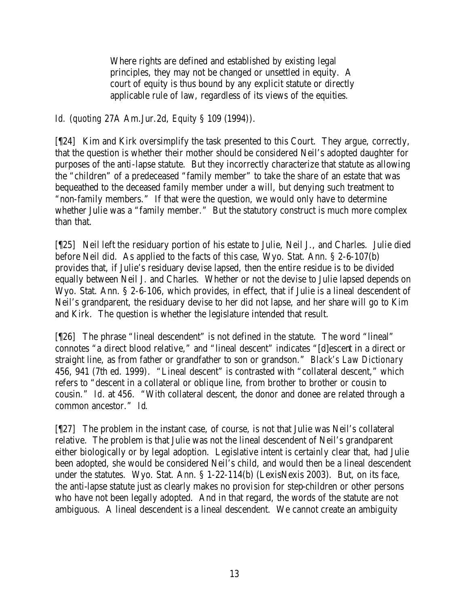Where rights are defined and established by existing legal principles, they may not be changed or unsettled in equity. A court of equity is thus bound by any explicit statute or directly applicable rule of law, regardless of its views of the equities.

*Id.* (*quoting* 27A Am.Jur.2d, *Equity* § 109 (1994)).

[¶24] Kim and Kirk oversimplify the task presented to this Court. They argue, correctly, that the question is whether their mother should be considered Neil's adopted daughter for purposes of the anti-lapse statute. But they incorrectly characterize that statute as allowing the "children" of a predeceased "family member" to take the share of an estate that was bequeathed to the deceased family member under a will, but denying such treatment to "non-family members." If that were the question, we would only have to determine whether Julie was a "family member." But the statutory construct is much more complex than that.

[¶25] Neil left the residuary portion of his estate to Julie, Neil J., and Charles. Julie died before Neil did. As applied to the facts of this case, Wyo. Stat. Ann. § 2-6-107(b) provides that, if Julie's residuary devise lapsed, then the entire residue is to be divided equally between Neil J. and Charles. Whether or not the devise to Julie lapsed depends on Wyo. Stat. Ann. § 2-6-106, which provides, in effect, that if Julie is a lineal descendent of Neil's grandparent, the residuary devise to her did not lapse, and her share will go to Kim and Kirk. The question is whether the legislature intended that result.

[¶26] The phrase "lineal descendent" is not defined in the statute. The word "lineal" connotes "a direct blood relative," and "lineal descent" indicates "[d]escent in a direct or straight line, as from father or grandfather to son or grandson." *Black's Law Dictionary*  456, 941 (7th ed. 1999). "Lineal descent" is contrasted with "collateral descent," which refers to "descent in a collateral or oblique line, from brother to brother or cousin to cousin." *Id.* at 456. "With collateral descent, the donor and donee are related through a common ancestor." *Id.*

[¶27] The problem in the instant case, of course, is not that Julie was Neil's collateral relative. The problem is that Julie was not the lineal descendent of Neil's grandparent either biologically or by legal adoption. Legislative intent is certainly clear that, had Julie been adopted, she would be considered Neil's child, and would then be a lineal descendent under the statutes. Wyo. Stat. Ann. § 1-22-114(b) (LexisNexis 2003). But, on its face, the anti-lapse statute just as clearly makes no provision for step-children or other persons who have not been legally adopted. And in that regard, the words of the statute are not ambiguous. A lineal descendent is a lineal descendent. We cannot create an ambiguity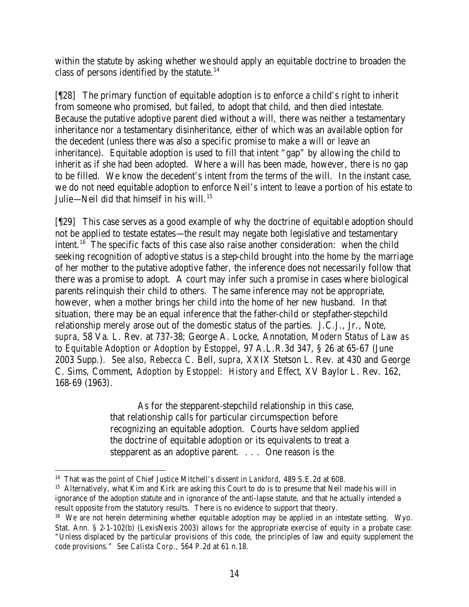within the statute by asking whether we should apply an equitable doctrine to broaden the class of persons identified by the statute. $^{14}$ 

[¶28] The primary function of equitable adoption is to enforce a child's right to inherit from someone who promised, but failed, to adopt that child, and then died intestate. Because the putative adoptive parent died without a will, there was neither a testamentary inheritance nor a testamentary disinheritance, either of which was an available option for the decedent (unless there was also a specific promise to make a will or leave an inheritance). Equitable adoption is used to fill that intent "gap" by allowing the child to inherit as if she had been adopted. Where a will has been made, however, there is no gap to be filled. We know the decedent's intent from the terms of the will. In the instant case, we do not need equitable adoption to enforce Neil's intent to leave a portion of his estate to Julie—Neil did that himself in his will.<sup>15</sup>

[¶29] This case serves as a good example of why the doctrine of equitable adoption should not be applied to testate estates—the result may negate both legislative and testamentary intent.<sup>16</sup> The specific facts of this case also raise another consideration: when the child seeking recognition of adoptive status is a step-child brought into the home by the marriage of her mother to the putative adoptive father, the inference does not necessarily follow that there was a promise to adopt. A court may infer such a promise in cases where biological parents relinquish their child to others. The same inference may not be appropriate, however, when a mother brings her child into the home of her new husband. In that situation, there may be an equal inference that the father-child or stepfather-stepchild relationship merely arose out of the domestic status of the parties. J.C.J., Jr., Note, *supra*, 58 Va. L. Rev. at 737-38; George A. Locke, Annotation, *Modern Status of Law as to Equitable Adoption or Adoption by Estoppel*, 97 A.L.R.3d 347, § 26 at 65-67 (June 2003 Supp.). *See also, Rebecca C.* Bell, *supra*, XXIX Stetson L. Rev. at 430 and George C. Sims, Comment, *Adoption by Estoppel: History and Effect*, XV Baylor L. Rev. 162, 168-69 (1963).

> As for the stepparent-stepchild relationship in this case, that relationship calls for particular circumspection before recognizing an equitable adoption. Courts have seldom applied the doctrine of equitable adoption or its equivalents to treat a stepparent as an adoptive parent. . . . One reason is the

 <sup>14</sup> That was the point of Chief Justice Mitchell's dissent in *Lankford*, 489 S.E.2d at 608.

<sup>&</sup>lt;sup>15</sup> Alternatively, what Kim and Kirk are asking this Court to do is to presume that Neil made his will in ignorance of the adoption statute and in ignorance of the anti-lapse statute, and that he actually intended a result opposite from the statutory results. There is no evidence to support that theory.

<sup>&</sup>lt;sup>16</sup> We are not herein determining whether equitable adoption may be applied in an intestate setting. Wyo. Stat. Ann. § 2-1-102(b) (LexisNexis 2003) allows for the appropriate exercise of equity in a probate case: "Unless displaced by the particular provisions of this code, the principles of law and equity supplement the code provisions." *See Calista Corp.,* 564 P.2d at 61 n.18.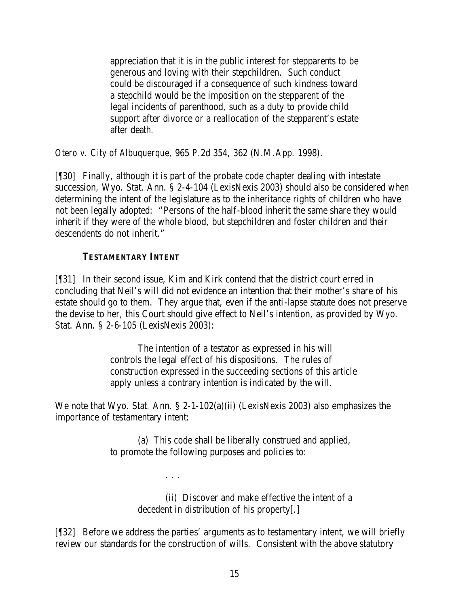appreciation that it is in the public interest for stepparents to be generous and loving with their stepchildren. Such conduct could be discouraged if a consequence of such kindness toward a stepchild would be the imposition on the stepparent of the legal incidents of parenthood, such as a duty to provide child support after divorce or a reallocation of the stepparent's estate after death.

*Otero v. City of Albuquerque,* 965 P.2d 354, 362 (N.M.App. 1998).

[¶30] Finally, although it is part of the probate code chapter dealing with intestate succession, Wyo. Stat. Ann. § 2-4-104 (LexisNexis 2003) should also be considered when determining the intent of the legislature as to the inheritance rights of children who have not been legally adopted: "Persons of the half-blood inherit the same share they would inherit if they were of the whole blood, but stepchildren and foster children and their descendents do not inherit."

# **TESTAMENTARY INTENT**

[¶31] In their second issue, Kim and Kirk contend that the district court erred in concluding that Neil's will did not evidence an intention that their mother's share of his estate should go to them. They argue that, even if the anti-lapse statute does not preserve the devise to her, this Court should give effect to Neil's intention, as provided by Wyo. Stat. Ann. § 2-6-105 (LexisNexis 2003):

> The intention of a testator as expressed in his will controls the legal effect of his dispositions. The rules of construction expressed in the succeeding sections of this article apply unless a contrary intention is indicated by the will.

We note that Wyo. Stat. Ann. § 2-1-102(a)(ii) (LexisNexis 2003) also emphasizes the importance of testamentary intent:

> (a) This code shall be liberally construed and applied, to promote the following purposes and policies to:

> > . . .

(ii) Discover and make effective the intent of a decedent in distribution of his property[.]

[¶32] Before we address the parties' arguments as to testamentary intent, we will briefly review our standards for the construction of wills. Consistent with the above statutory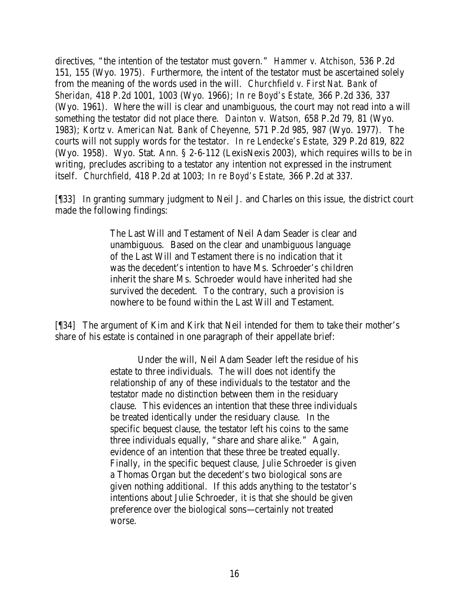directives, "the intention of the testator must govern." *Hammer v. Atchison,* 536 P.2d 151, 155 (Wyo. 1975). Furthermore, the intent of the testator must be ascertained solely from the meaning of the words used in the will. *Churchfield v. First Nat. Bank of Sheridan,* 418 P.2d 1001, 1003 (Wyo. 1966); *In re Boyd's Estate,* 366 P.2d 336, 337 (Wyo. 1961). Where the will is clear and unambiguous, the court may not read into a will something the testator did not place there. *Dainton v. Watson,* 658 P.2d 79, 81 (Wyo. 1983); *Kortz v. American Nat. Bank of Cheyenne,* 571 P.2d 985, 987 (Wyo. 1977). The courts will not supply words for the testator. *In re Lendecke's Estate,* 329 P.2d 819, 822 (Wyo. 1958). Wyo. Stat. Ann. § 2-6-112 (LexisNexis 2003), which requires wills to be in writing, precludes ascribing to a testator any intention not expressed in the instrument itself. *Churchfield,* 418 P.2d at 1003; *In re Boyd's Estate,* 366 P.2d at 337.

[¶33] In granting summary judgment to Neil J. and Charles on this issue, the district court made the following findings:

> The Last Will and Testament of Neil Adam Seader is clear and unambiguous. Based on the clear and unambiguous language of the Last Will and Testament there is no indication that it was the decedent's intention to have Ms. Schroeder's children inherit the share Ms. Schroeder would have inherited had she survived the decedent. To the contrary, such a provision is nowhere to be found within the Last Will and Testament.

[¶34] The argument of Kim and Kirk that Neil intended for them to take their mother's share of his estate is contained in one paragraph of their appellate brief:

> Under the will, Neil Adam Seader left the residue of his estate to three individuals. The will does not identify the relationship of any of these individuals to the testator and the testator made no distinction between them in the residuary clause. This evidences an intention that these three individuals be treated identically under the residuary clause. In the specific bequest clause, the testator left his coins to the same three individuals equally, "share and share alike." Again, evidence of an intention that these three be treated equally. Finally, in the specific bequest clause, Julie Schroeder is given a Thomas Organ but the decedent's two biological sons are given nothing additional. If this adds anything to the testator's intentions about Julie Schroeder, it is that she should be given preference over the biological sons—certainly not treated worse.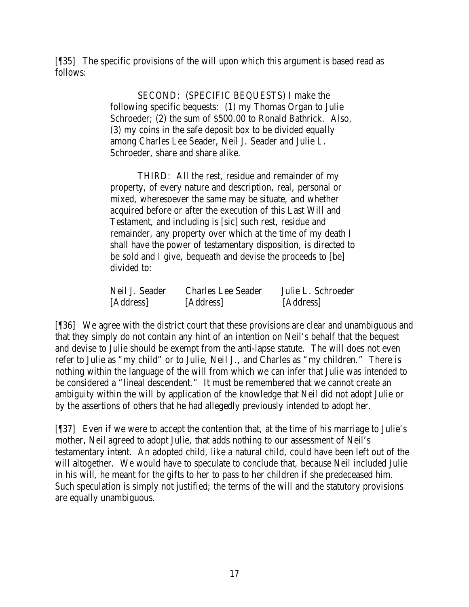[¶35] The specific provisions of the will upon which this argument is based read as follows:

> SECOND: (SPECIFIC BEQUESTS) I make the following specific bequests: (1) my Thomas Organ to Julie Schroeder; (2) the sum of \$500.00 to Ronald Bathrick. Also, (3) my coins in the safe deposit box to be divided equally among Charles Lee Seader, Neil J. Seader and Julie L. Schroeder, share and share alike.

THIRD: All the rest, residue and remainder of my property, of every nature and description, real, personal or mixed, wheresoever the same may be situate, and whether acquired before or after the execution of this Last Will and Testament, and including is [sic] such rest, residue and remainder, any property over which at the time of my death I shall have the power of testamentary disposition, is directed to be sold and I give, bequeath and devise the proceeds to [be] divided to:

| Neil J. Seader | <b>Charles Lee Seader</b> | Julie L. Schroeder |
|----------------|---------------------------|--------------------|
| [Address]      | [Address]                 | [Address]          |

[¶36] We agree with the district court that these provisions are clear and unambiguous and that they simply do not contain any hint of an intention on Neil's behalf that the bequest and devise to Julie should be exempt from the anti-lapse statute. The will does not even refer to Julie as "my child" or to Julie, Neil J., and Charles as "my children." There is nothing within the language of the will from which we can infer that Julie was intended to be considered a "lineal descendent." It must be remembered that we cannot create an ambiguity within the will by application of the knowledge that Neil did not adopt Julie or by the assertions of others that he had allegedly previously intended to adopt her.

[¶37] Even if we were to accept the contention that, at the time of his marriage to Julie's mother, Neil agreed to adopt Julie, that adds nothing to our assessment of Neil's testamentary intent. An adopted child, like a natural child, could have been left out of the will altogether. We would have to speculate to conclude that, because Neil included Julie in his will, he meant for the gifts to her to pass to her children if she predeceased him. Such speculation is simply not justified; the terms of the will and the statutory provisions are equally unambiguous.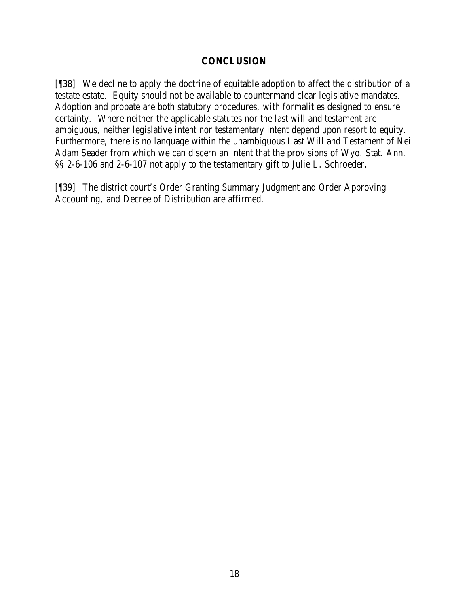### **CONCLUSION**

[¶38] We decline to apply the doctrine of equitable adoption to affect the distribution of a testate estate. Equity should not be available to countermand clear legislative mandates. Adoption and probate are both statutory procedures, with formalities designed to ensure certainty. Where neither the applicable statutes nor the last will and testament are ambiguous, neither legislative intent nor testamentary intent depend upon resort to equity. Furthermore, there is no language within the unambiguous Last Will and Testament of Neil Adam Seader from which we can discern an intent that the provisions of Wyo. Stat. Ann. §§ 2-6-106 and 2-6-107 not apply to the testamentary gift to Julie L. Schroeder.

[¶39] The district court's Order Granting Summary Judgment and Order Approving Accounting, and Decree of Distribution are affirmed.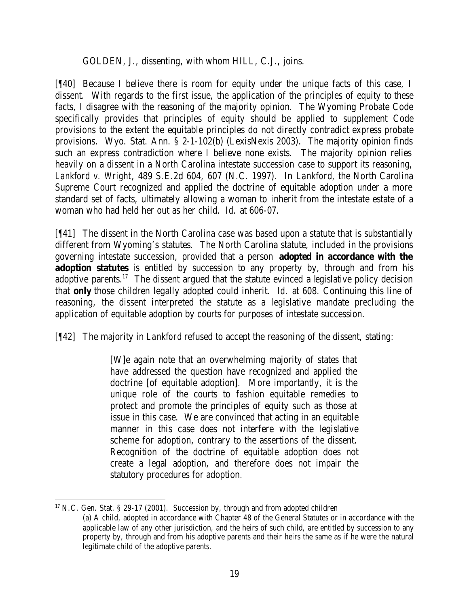# GOLDEN, J., dissenting, with whom HILL, C.J., joins.

[¶40] Because I believe there is room for equity under the unique facts of this case, I dissent. With regards to the first issue, the application of the principles of equity to these facts, I disagree with the reasoning of the majority opinion. The Wyoming Probate Code specifically provides that principles of equity should be applied to supplement Code provisions to the extent the equitable principles do not directly contradict express probate provisions. Wyo. Stat. Ann. § 2-1-102(b) (LexisNexis 2003). The majority opinion finds such an express contradiction where I believe none exists. The majority opinion relies heavily on a dissent in a North Carolina intestate succession case to support its reasoning, *Lankford v. Wright*, 489 S.E.2d 604, 607 (N.C. 1997). In *Lankford*, the North Carolina Supreme Court recognized and applied the doctrine of equitable adoption under a more standard set of facts, ultimately allowing a woman to inherit from the intestate estate of a woman who had held her out as her child. *Id.* at 606-07.

[¶41] The dissent in the North Carolina case was based upon a statute that is substantially different from Wyoming's statutes. The North Carolina statute, included in the provisions governing intestate succession, provided that a person **adopted in accordance with the adoption statutes** is entitled by succession to any property by, through and from his adoptive parents.<sup>17</sup> The dissent argued that the statute evinced a legislative policy decision that **only** those children legally adopted could inherit. *Id.* at 608. Continuing this line of reasoning, the dissent interpreted the statute as a legislative mandate precluding the application of equitable adoption by courts for purposes of intestate succession.

[¶42] The majority in *Lankford* refused to accept the reasoning of the dissent, stating:

[W]e again note that an overwhelming majority of states that have addressed the question have recognized and applied the doctrine [of equitable adoption]. More importantly, it is the unique role of the courts to fashion equitable remedies to protect and promote the principles of equity such as those at issue in this case. We are convinced that acting in an equitable manner in this case does not interfere with the legislative scheme for adoption, contrary to the assertions of the dissent. Recognition of the doctrine of equitable adoption does not create a legal adoption, and therefore does not impair the statutory procedures for adoption.

  $17$  N.C. Gen. Stat. § 29-17 (2001). Succession by, through and from adopted children (a) A child, adopted in accordance with Chapter 48 of the General Statutes or in accordance with the applicable law of any other jurisdiction, and the heirs of such child, are entitled by succession to any property by, through and from his adoptive parents and their heirs the same as if he were the natural legitimate child of the adoptive parents.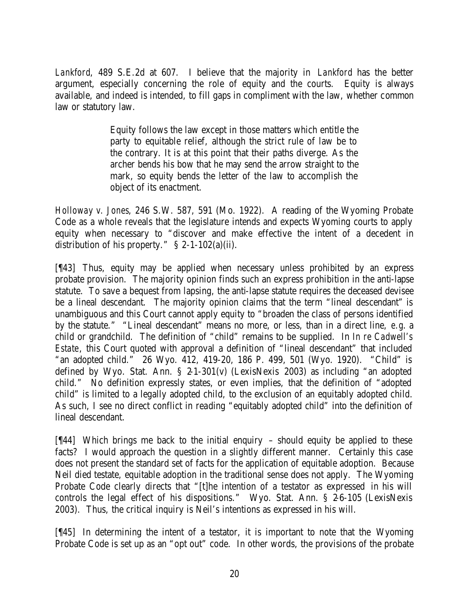*Lankford*, 489 S.E.2d at 607. I believe that the majority in *Lankford* has the better argument, especially concerning the role of equity and the courts. Equity is always available, and indeed is intended, to fill gaps in compliment with the law, whether common law or statutory law.

> Equity follows the law except in those matters which entitle the party to equitable relief, although the strict rule of law be to the contrary. It is at this point that their paths diverge. As the archer bends his bow that he may send the arrow straight to the mark, so equity bends the letter of the law to accomplish the object of its enactment.

*Holloway v. Jones*, 246 S.W. 587, 591 (Mo. 1922). A reading of the Wyoming Probate Code as a whole reveals that the legislature intends and expects Wyoming courts to apply equity when necessary to "discover and make effective the intent of a decedent in distribution of his property." § 2-1-102(a)(ii).

[¶43] Thus, equity may be applied when necessary unless prohibited by an express probate provision. The majority opinion finds such an express prohibition in the anti-lapse statute. To save a bequest from lapsing, the anti-lapse statute requires the deceased devisee be a lineal descendant. The majority opinion claims that the term "lineal descendant" is unambiguous and this Court cannot apply equity to "broaden the class of persons identified by the statute." "Lineal descendant" means no more, or less, than in a direct line, *e.g*. a child or grandchild. The definition of "child" remains to be supplied. In *In re Cadwell's Estate*, this Court quoted with approval a definition of "lineal descendant" that included "an adopted child." 26 Wyo. 412, 419-20, 186 P. 499, 501 (Wyo. 1920). "Child" is defined by Wyo. Stat. Ann. § 2-1-301(v) (LexisNexis 2003) as including "an adopted child." No definition expressly states, or even implies, that the definition of "adopted child" is limited to a legally adopted child, to the exclusion of an equitably adopted child. As such, I see no direct conflict in reading "equitably adopted child" into the definition of lineal descendant.

[¶44] Which brings me back to the initial enquiry – should equity be applied to these facts? I would approach the question in a slightly different manner. Certainly this case does not present the standard set of facts for the application of equitable adoption. Because Neil died testate, equitable adoption in the traditional sense does not apply. The Wyoming Probate Code clearly directs that "[t]he intention of a testator as expressed in his will controls the legal effect of his dispositions." Wyo. Stat. Ann. § 2-6-105 (LexisNexis 2003). Thus, the critical inquiry is Neil's intentions as expressed in his will.

[¶45] In determining the intent of a testator, it is important to note that the Wyoming Probate Code is set up as an "opt out" code. In other words, the provisions of the probate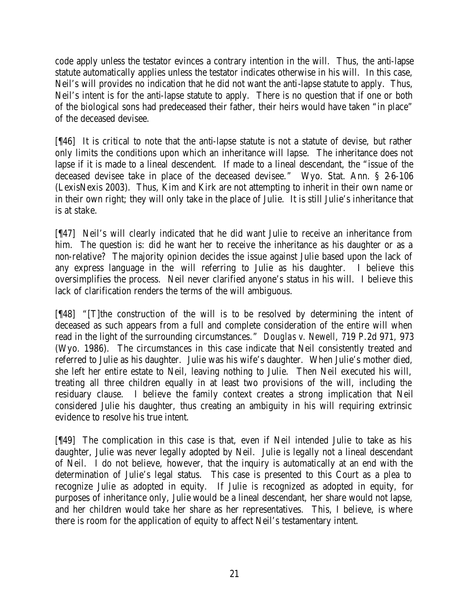code apply unless the testator evinces a contrary intention in the will. Thus, the anti-lapse statute automatically applies unless the testator indicates otherwise in his will. In this case, Neil's will provides no indication that he did not want the anti-lapse statute to apply. Thus, Neil's intent is for the anti-lapse statute to apply. There is no question that if one or both of the biological sons had predeceased their father, their heirs would have taken "in place" of the deceased devisee.

[¶46] It is critical to note that the anti-lapse statute is not a statute of devise, but rather only limits the conditions upon which an inheritance will lapse. The inheritance does not lapse if it is made to a lineal descendent. If made to a lineal descendant, the "issue of the deceased devisee take in place of the deceased devisee." Wyo. Stat. Ann. § 2-6-106 (LexisNexis 2003). Thus, Kim and Kirk are not attempting to inherit in their own name or in their own right; they will only take in the place of Julie. It is still Julie's inheritance that is at stake.

[¶47] Neil's will clearly indicated that he did want Julie to receive an inheritance from him. The question is: did he want her to receive the inheritance as his daughter or as a non-relative? The majority opinion decides the issue against Julie based upon the lack of any express language in the will referring to Julie as his daughter. I believe this oversimplifies the process. Neil never clarified anyone's status in his will. I believe this lack of clarification renders the terms of the will ambiguous.

[¶48] "[T]the construction of the will is to be resolved by determining the intent of deceased as such appears from a full and complete consideration of the entire will when read in the light of the surrounding circumstances." *Douglas v. Newell*, 719 P.2d 971, 973 (Wyo. 1986). The circumstances in this case indicate that Neil consistently treated and referred to Julie as his daughter. Julie was his wife's daughter. When Julie's mother died, she left her entire estate to Neil, leaving nothing to Julie. Then Neil executed his will, treating all three children equally in at least two provisions of the will, including the residuary clause. I believe the family context creates a strong implication that Neil considered Julie his daughter, thus creating an ambiguity in his will requiring extrinsic evidence to resolve his true intent.

[¶49] The complication in this case is that, even if Neil intended Julie to take as his daughter, Julie was never legally adopted by Neil. Julie is legally not a lineal descendant of Neil. I do not believe, however, that the inquiry is automatically at an end with the determination of Julie's legal status. This case is presented to this Court as a plea to recognize Julie as adopted in equity. If Julie is recognized as adopted in equity, for purposes of inheritance only, Julie would be a lineal descendant, her share would not lapse, and her children would take her share as her representatives. This, I believe, is where there is room for the application of equity to affect Neil's testamentary intent.